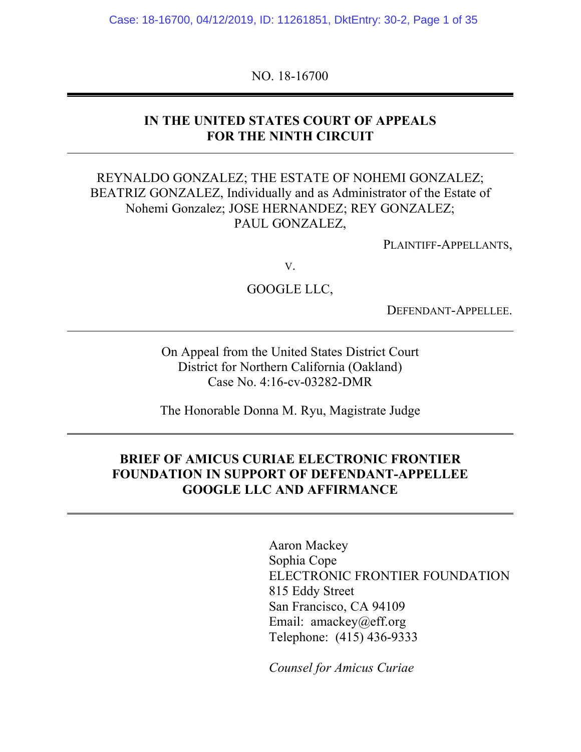Case: 18-16700, 04/12/2019, ID: 11261851, DktEntry: 30-2, Page 1 of 35

NO. 18-16700

### **IN THE UNITED STATES COURT OF APPEALS FOR THE NINTH CIRCUIT**

## REYNALDO GONZALEZ; THE ESTATE OF NOHEMI GONZALEZ; BEATRIZ GONZALEZ, Individually and as Administrator of the Estate of Nohemi Gonzalez; JOSE HERNANDEZ; REY GONZALEZ; PAUL GONZALEZ,

PLAINTIFF-APPELLANTS,

V.

GOOGLE LLC,

DEFENDANT-APPELLEE.

On Appeal from the United States District Court District for Northern California (Oakland) Case No. 4:16-cv-03282-DMR

The Honorable Donna M. Ryu, Magistrate Judge

#### **BRIEF OF AMICUS CURIAE ELECTRONIC FRONTIER FOUNDATION IN SUPPORT OF DEFENDANT-APPELLEE GOOGLE LLC AND AFFIRMANCE**

Aaron Mackey Sophia Cope ELECTRONIC FRONTIER FOUNDATION 815 Eddy Street San Francisco, CA 94109 Email: amackey@eff.org Telephone: (415) 436-9333

*Counsel for Amicus Curiae*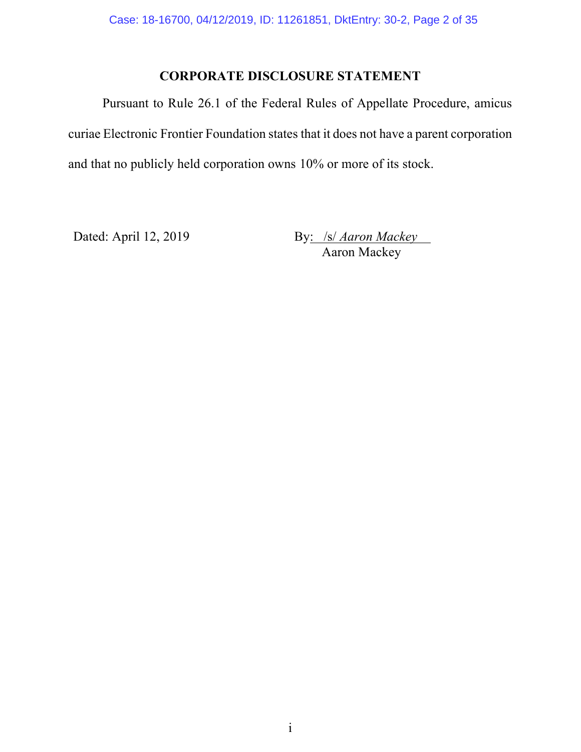# **CORPORATE DISCLOSURE STATEMENT**

Pursuant to Rule 26.1 of the Federal Rules of Appellate Procedure, amicus curiae Electronic Frontier Foundation states that it does not have a parent corporation and that no publicly held corporation owns 10% or more of its stock.

Dated: April 12, 2019 By: /s/ *Aaron Mackey* Aaron Mackey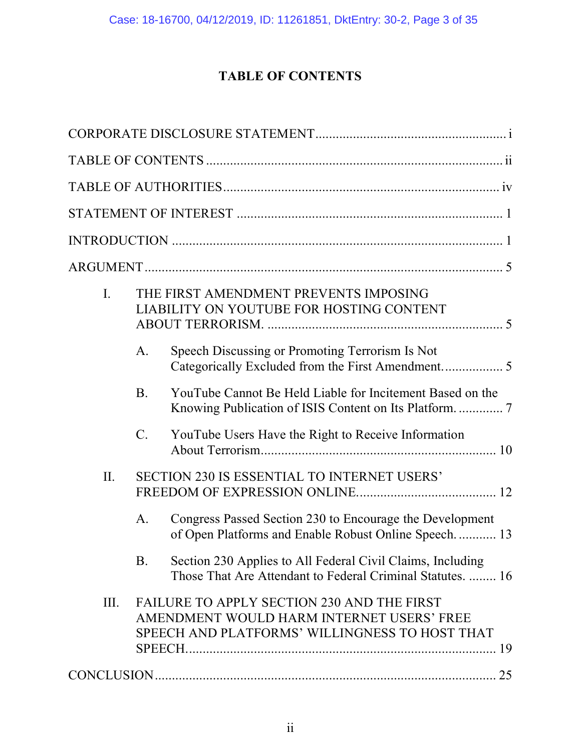# **TABLE OF CONTENTS**

| $\mathbf{I}$ . |                 | THE FIRST AMENDMENT PREVENTS IMPOSING<br>LIABILITY ON YOUTUBE FOR HOSTING CONTENT                                                         |  |
|----------------|-----------------|-------------------------------------------------------------------------------------------------------------------------------------------|--|
|                | A.              | Speech Discussing or Promoting Terrorism Is Not                                                                                           |  |
|                | <b>B</b> .      | YouTube Cannot Be Held Liable for Incitement Based on the<br>Knowing Publication of ISIS Content on Its Platform.  7                      |  |
|                | $\mathcal{C}$ . | YouTube Users Have the Right to Receive Information                                                                                       |  |
| II.            |                 | SECTION 230 IS ESSENTIAL TO INTERNET USERS'                                                                                               |  |
|                | A.              | Congress Passed Section 230 to Encourage the Development<br>of Open Platforms and Enable Robust Online Speech.  13                        |  |
|                | <b>B.</b>       | Section 230 Applies to All Federal Civil Claims, Including<br>Those That Are Attendant to Federal Criminal Statutes.  16                  |  |
| III.           |                 | FAILURE TO APPLY SECTION 230 AND THE FIRST<br>AMENDMENT WOULD HARM INTERNET USERS' FREE<br>SPEECH AND PLATFORMS' WILLINGNESS TO HOST THAT |  |
|                |                 |                                                                                                                                           |  |
|                |                 |                                                                                                                                           |  |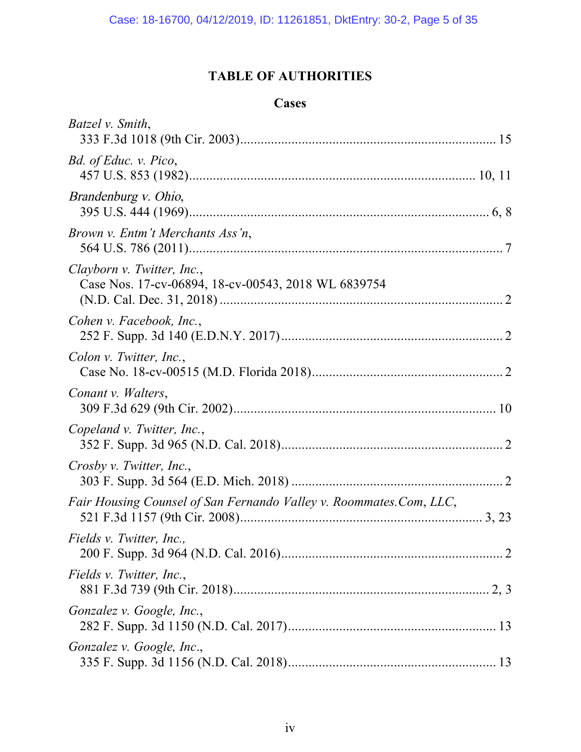# **TABLE OF AUTHORITIES**

# **Cases**

| Batzel v. Smith,                                                                  |  |
|-----------------------------------------------------------------------------------|--|
| Bd. of Educ. v. Pico,                                                             |  |
| Brandenburg v. Ohio,                                                              |  |
| Brown v. Entm't Merchants Ass'n,                                                  |  |
| Clayborn v. Twitter, Inc.,<br>Case Nos. 17-cv-06894, 18-cv-00543, 2018 WL 6839754 |  |
| Cohen v. Facebook, Inc.,                                                          |  |
| Colon v. Twitter, Inc.,                                                           |  |
| Conant v. Walters,                                                                |  |
| Copeland v. Twitter, Inc.,                                                        |  |
| Crosby v. Twitter, Inc.,                                                          |  |
| Fair Housing Counsel of San Fernando Valley v. Roommates.Com, LLC,                |  |
| Fields v. Twitter, Inc.,                                                          |  |
| Fields v. Twitter, Inc.,                                                          |  |
| Gonzalez v. Google, Inc.,                                                         |  |
| Gonzalez v. Google, Inc.,                                                         |  |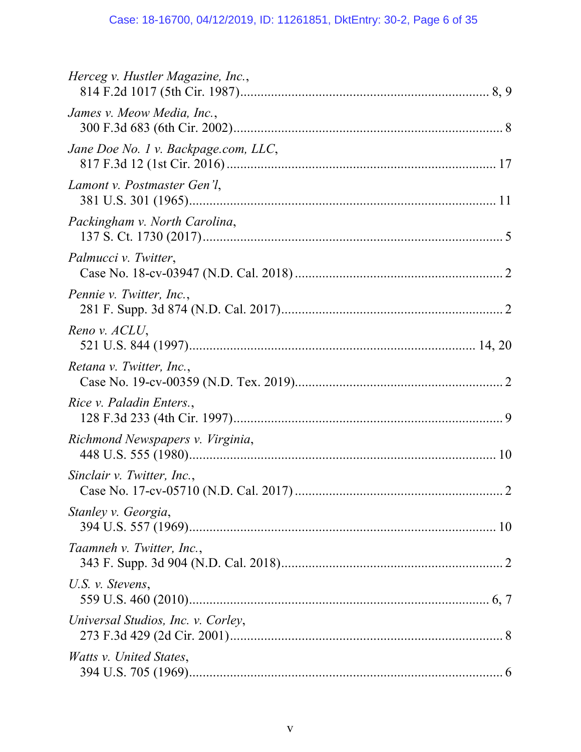| Herceg v. Hustler Magazine, Inc.,    |
|--------------------------------------|
| James v. Meow Media, Inc.,           |
| Jane Doe No. 1 v. Backpage.com, LLC, |
| Lamont v. Postmaster Gen'l,          |
| Packingham v. North Carolina,        |
| Palmucci v. Twitter,                 |
| Pennie v. Twitter, Inc.,             |
| Reno v. ACLU,                        |
| Retana v. Twitter, Inc.,             |
| Rice v. Paladin Enters.,             |
| Richmond Newspapers v. Virginia,     |
| Sinclair v. Twitter, Inc.,           |
| Stanley v. Georgia,                  |
| Taamneh v. Twitter, Inc.,            |
| U.S. v. Stevens,                     |
| Universal Studios, Inc. v. Corley,   |
| <i>Watts v. United States,</i>       |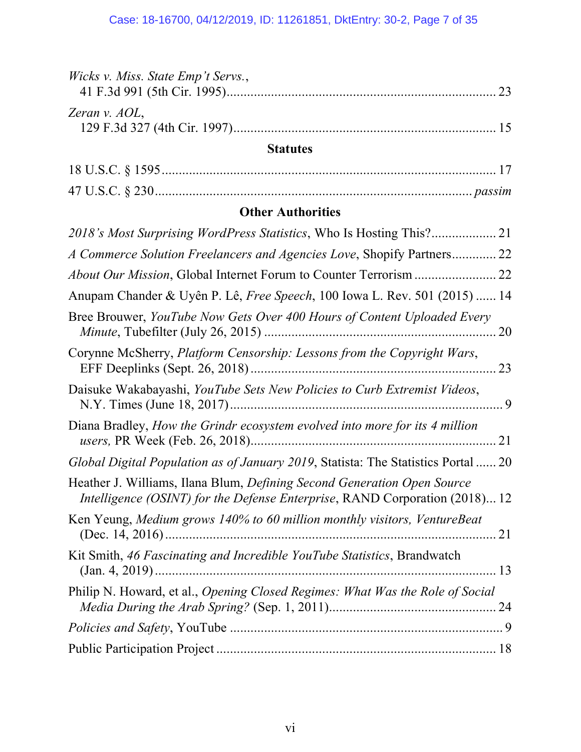| Wicks v. Miss. State Emp't Servs.,                                                                                                                     | 23 |
|--------------------------------------------------------------------------------------------------------------------------------------------------------|----|
| Zeran v. AOL,                                                                                                                                          |    |
| <b>Statutes</b>                                                                                                                                        |    |
|                                                                                                                                                        |    |
|                                                                                                                                                        |    |
| <b>Other Authorities</b>                                                                                                                               |    |
|                                                                                                                                                        |    |
| A Commerce Solution Freelancers and Agencies Love, Shopify Partners 22                                                                                 |    |
|                                                                                                                                                        |    |
| Anupam Chander & Uyên P. Lê, <i>Free Speech</i> , 100 Iowa L. Rev. 501 (2015)  14                                                                      |    |
| Bree Brouwer, YouTube Now Gets Over 400 Hours of Content Uploaded Every                                                                                | 20 |
| Corynne McSherry, Platform Censorship: Lessons from the Copyright Wars,                                                                                |    |
| Daisuke Wakabayashi, YouTube Sets New Policies to Curb Extremist Videos,                                                                               |    |
| Diana Bradley, How the Grindr ecosystem evolved into more for its 4 million                                                                            |    |
| Global Digital Population as of January 2019, Statista: The Statistics Portal  20                                                                      |    |
| Heather J. Williams, Ilana Blum, Defining Second Generation Open Source<br>Intelligence (OSINT) for the Defense Enterprise, RAND Corporation (2018) 12 |    |
| Ken Yeung, Medium grows 140% to 60 million monthly visitors, VentureBeat                                                                               |    |
| Kit Smith, 46 Fascinating and Incredible YouTube Statistics, Brandwatch                                                                                |    |
| Philip N. Howard, et al., Opening Closed Regimes: What Was the Role of Social                                                                          |    |
|                                                                                                                                                        |    |
|                                                                                                                                                        |    |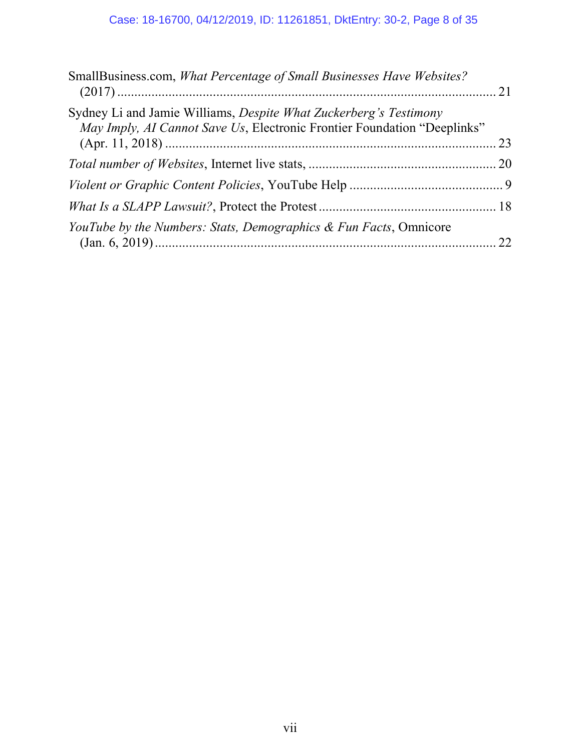| SmallBusiness.com, What Percentage of Small Businesses Have Websites?                                                                         |  |
|-----------------------------------------------------------------------------------------------------------------------------------------------|--|
| Sydney Li and Jamie Williams, Despite What Zuckerberg's Testimony<br>May Imply, AI Cannot Save Us, Electronic Frontier Foundation "Deeplinks" |  |
|                                                                                                                                               |  |
|                                                                                                                                               |  |
|                                                                                                                                               |  |
| <i>YouTube by the Numbers: Stats, Demographics &amp; Fun Facts, Omnicore</i>                                                                  |  |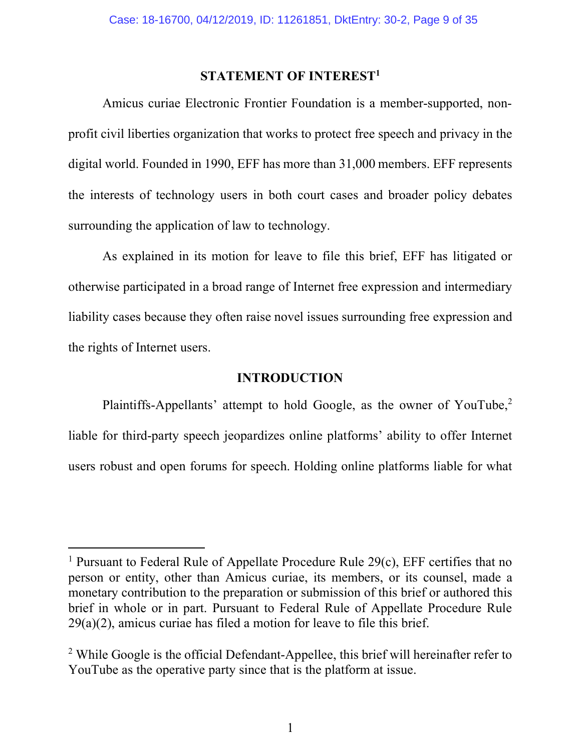#### **STATEMENT OF INTEREST1**

Amicus curiae Electronic Frontier Foundation is a member-supported, nonprofit civil liberties organization that works to protect free speech and privacy in the digital world. Founded in 1990, EFF has more than 31,000 members. EFF represents the interests of technology users in both court cases and broader policy debates surrounding the application of law to technology.

As explained in its motion for leave to file this brief, EFF has litigated or otherwise participated in a broad range of Internet free expression and intermediary liability cases because they often raise novel issues surrounding free expression and the rights of Internet users.

#### **INTRODUCTION**

Plaintiffs-Appellants' attempt to hold Google, as the owner of YouTube,<sup>2</sup> liable for third-party speech jeopardizes online platforms' ability to offer Internet users robust and open forums for speech. Holding online platforms liable for what

<sup>&</sup>lt;sup>1</sup> Pursuant to Federal Rule of Appellate Procedure Rule  $29(c)$ , EFF certifies that no person or entity, other than Amicus curiae, its members, or its counsel, made a monetary contribution to the preparation or submission of this brief or authored this brief in whole or in part. Pursuant to Federal Rule of Appellate Procedure Rule 29(a)(2), amicus curiae has filed a motion for leave to file this brief.

<sup>&</sup>lt;sup>2</sup> While Google is the official Defendant-Appellee, this brief will hereinafter refer to YouTube as the operative party since that is the platform at issue.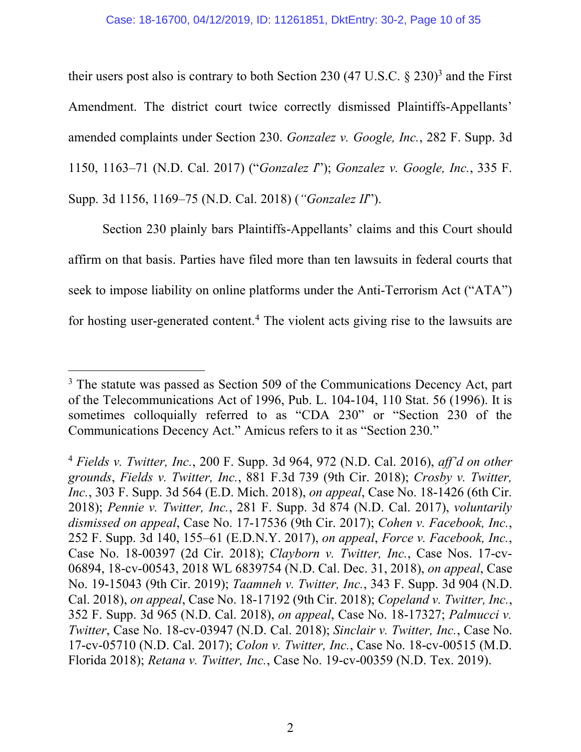#### Case: 18-16700, 04/12/2019, ID: 11261851, DktEntry: 30-2, Page 10 of 35

their users post also is contrary to both Section 230  $(47 \text{ U.S.C.} \text{ § } 230)^3$  and the First Amendment. The district court twice correctly dismissed Plaintiffs-Appellants' amended complaints under Section 230. *Gonzalez v. Google, Inc.*, 282 F. Supp. 3d 1150, 1163–71 (N.D. Cal. 2017) ("*Gonzalez I*"); *Gonzalez v. Google, Inc.*, 335 F. Supp. 3d 1156, 1169–75 (N.D. Cal. 2018) (*"Gonzalez II*").

Section 230 plainly bars Plaintiffs-Appellants' claims and this Court should affirm on that basis. Parties have filed more than ten lawsuits in federal courts that seek to impose liability on online platforms under the Anti-Terrorism Act ("ATA") for hosting user-generated content.4 The violent acts giving rise to the lawsuits are

<sup>&</sup>lt;sup>3</sup> The statute was passed as Section 509 of the Communications Decency Act, part of the Telecommunications Act of 1996, Pub. L. 104-104, 110 Stat. 56 (1996). It is sometimes colloquially referred to as "CDA 230" or "Section 230 of the Communications Decency Act." Amicus refers to it as "Section 230."

<sup>4</sup> *Fields v. Twitter, Inc.*, 200 F. Supp. 3d 964, 972 (N.D. Cal. 2016), *aff'd on other grounds*, *Fields v. Twitter, Inc.*, 881 F.3d 739 (9th Cir. 2018); *Crosby v. Twitter, Inc.*, 303 F. Supp. 3d 564 (E.D. Mich. 2018), *on appeal*, Case No. 18-1426 (6th Cir. 2018); *Pennie v. Twitter, Inc.*, 281 F. Supp. 3d 874 (N.D. Cal. 2017), *voluntarily dismissed on appeal*, Case No. 17-17536 (9th Cir. 2017); *Cohen v. Facebook, Inc.*, 252 F. Supp. 3d 140, 155–61 (E.D.N.Y. 2017), *on appeal*, *Force v. Facebook, Inc.*, Case No. 18-00397 (2d Cir. 2018); *Clayborn v. Twitter, Inc.*, Case Nos. 17-cv-06894, 18-cv-00543, 2018 WL 6839754 (N.D. Cal. Dec. 31, 2018), *on appeal*, Case No. 19-15043 (9th Cir. 2019); *Taamneh v. Twitter, Inc.*, 343 F. Supp. 3d 904 (N.D. Cal. 2018), *on appeal*, Case No. 18-17192 (9th Cir. 2018); *Copeland v. Twitter, Inc.*, 352 F. Supp. 3d 965 (N.D. Cal. 2018), *on appeal*, Case No. 18-17327; *Palmucci v. Twitter*, Case No. 18-cv-03947 (N.D. Cal. 2018); *Sinclair v. Twitter, Inc.*, Case No. 17-cv-05710 (N.D. Cal. 2017); *Colon v. Twitter, Inc.*, Case No. 18-cv-00515 (M.D. Florida 2018); *Retana v. Twitter, Inc.*, Case No. 19-cv-00359 (N.D. Tex. 2019).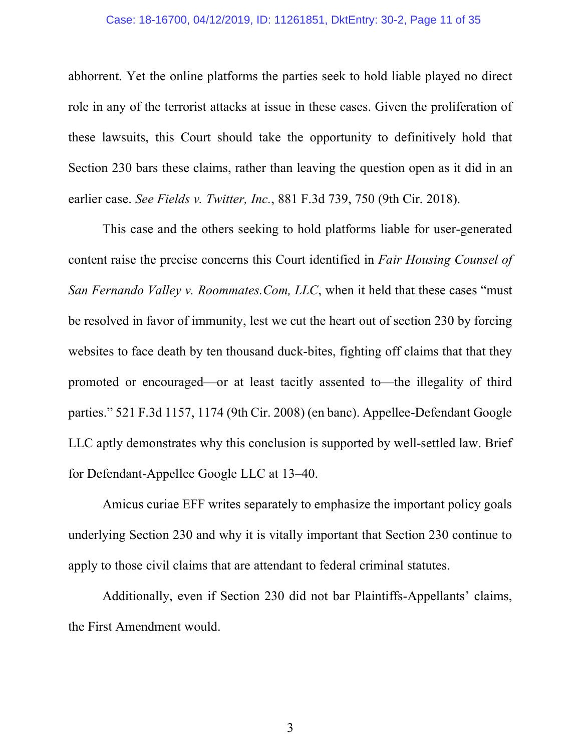#### Case: 18-16700, 04/12/2019, ID: 11261851, DktEntry: 30-2, Page 11 of 35

abhorrent. Yet the online platforms the parties seek to hold liable played no direct role in any of the terrorist attacks at issue in these cases. Given the proliferation of these lawsuits, this Court should take the opportunity to definitively hold that Section 230 bars these claims, rather than leaving the question open as it did in an earlier case. *See Fields v. Twitter, Inc.*, 881 F.3d 739, 750 (9th Cir. 2018).

This case and the others seeking to hold platforms liable for user-generated content raise the precise concerns this Court identified in *Fair Housing Counsel of San Fernando Valley v. Roommates.Com, LLC*, when it held that these cases "must be resolved in favor of immunity, lest we cut the heart out of section 230 by forcing websites to face death by ten thousand duck-bites, fighting off claims that that they promoted or encouraged—or at least tacitly assented to—the illegality of third parties." 521 F.3d 1157, 1174 (9th Cir. 2008) (en banc). Appellee-Defendant Google LLC aptly demonstrates why this conclusion is supported by well-settled law. Brief for Defendant-Appellee Google LLC at 13–40.

Amicus curiae EFF writes separately to emphasize the important policy goals underlying Section 230 and why it is vitally important that Section 230 continue to apply to those civil claims that are attendant to federal criminal statutes.

Additionally, even if Section 230 did not bar Plaintiffs-Appellants' claims, the First Amendment would.

3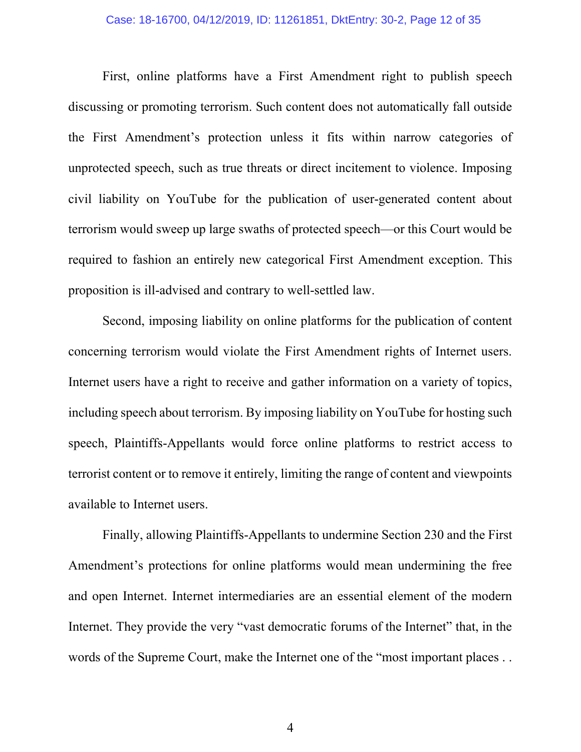First, online platforms have a First Amendment right to publish speech discussing or promoting terrorism. Such content does not automatically fall outside the First Amendment's protection unless it fits within narrow categories of unprotected speech, such as true threats or direct incitement to violence. Imposing civil liability on YouTube for the publication of user-generated content about terrorism would sweep up large swaths of protected speech—or this Court would be required to fashion an entirely new categorical First Amendment exception. This proposition is ill-advised and contrary to well-settled law.

Second, imposing liability on online platforms for the publication of content concerning terrorism would violate the First Amendment rights of Internet users. Internet users have a right to receive and gather information on a variety of topics, including speech about terrorism. By imposing liability on YouTube for hosting such speech, Plaintiffs-Appellants would force online platforms to restrict access to terrorist content or to remove it entirely, limiting the range of content and viewpoints available to Internet users.

Finally, allowing Plaintiffs-Appellants to undermine Section 230 and the First Amendment's protections for online platforms would mean undermining the free and open Internet. Internet intermediaries are an essential element of the modern Internet. They provide the very "vast democratic forums of the Internet" that, in the words of the Supreme Court, make the Internet one of the "most important places . .

4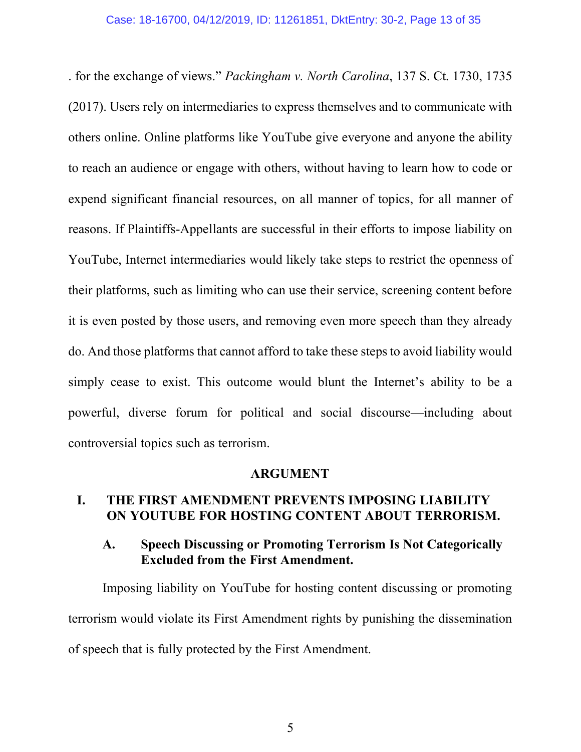. for the exchange of views." *Packingham v. North Carolina*, 137 S. Ct. 1730, 1735 (2017). Users rely on intermediaries to express themselves and to communicate with others online. Online platforms like YouTube give everyone and anyone the ability to reach an audience or engage with others, without having to learn how to code or expend significant financial resources, on all manner of topics, for all manner of reasons. If Plaintiffs-Appellants are successful in their efforts to impose liability on YouTube, Internet intermediaries would likely take steps to restrict the openness of their platforms, such as limiting who can use their service, screening content before it is even posted by those users, and removing even more speech than they already do. And those platforms that cannot afford to take these steps to avoid liability would simply cease to exist. This outcome would blunt the Internet's ability to be a powerful, diverse forum for political and social discourse—including about controversial topics such as terrorism.

#### **ARGUMENT**

### **I. THE FIRST AMENDMENT PREVENTS IMPOSING LIABILITY ON YOUTUBE FOR HOSTING CONTENT ABOUT TERRORISM.**

### **A. Speech Discussing or Promoting Terrorism Is Not Categorically Excluded from the First Amendment.**

Imposing liability on YouTube for hosting content discussing or promoting terrorism would violate its First Amendment rights by punishing the dissemination of speech that is fully protected by the First Amendment.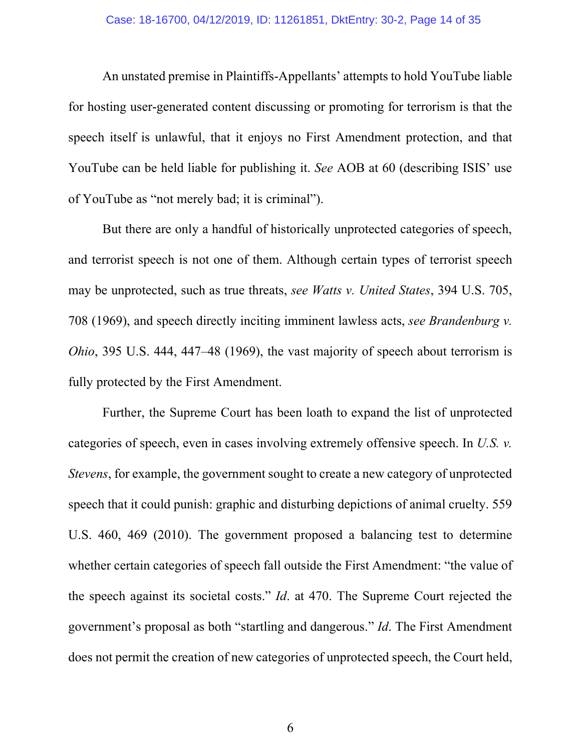An unstated premise in Plaintiffs-Appellants' attempts to hold YouTube liable for hosting user-generated content discussing or promoting for terrorism is that the speech itself is unlawful, that it enjoys no First Amendment protection, and that YouTube can be held liable for publishing it. *See* AOB at 60 (describing ISIS' use of YouTube as "not merely bad; it is criminal").

But there are only a handful of historically unprotected categories of speech, and terrorist speech is not one of them. Although certain types of terrorist speech may be unprotected, such as true threats, *see Watts v. United States*, 394 U.S. 705, 708 (1969), and speech directly inciting imminent lawless acts, *see Brandenburg v. Ohio*, 395 U.S. 444, 447–48 (1969), the vast majority of speech about terrorism is fully protected by the First Amendment.

Further, the Supreme Court has been loath to expand the list of unprotected categories of speech, even in cases involving extremely offensive speech. In *U.S. v. Stevens*, for example, the government sought to create a new category of unprotected speech that it could punish: graphic and disturbing depictions of animal cruelty. 559 U.S. 460, 469 (2010). The government proposed a balancing test to determine whether certain categories of speech fall outside the First Amendment: "the value of the speech against its societal costs." *Id*. at 470. The Supreme Court rejected the government's proposal as both "startling and dangerous." *Id*. The First Amendment does not permit the creation of new categories of unprotected speech, the Court held,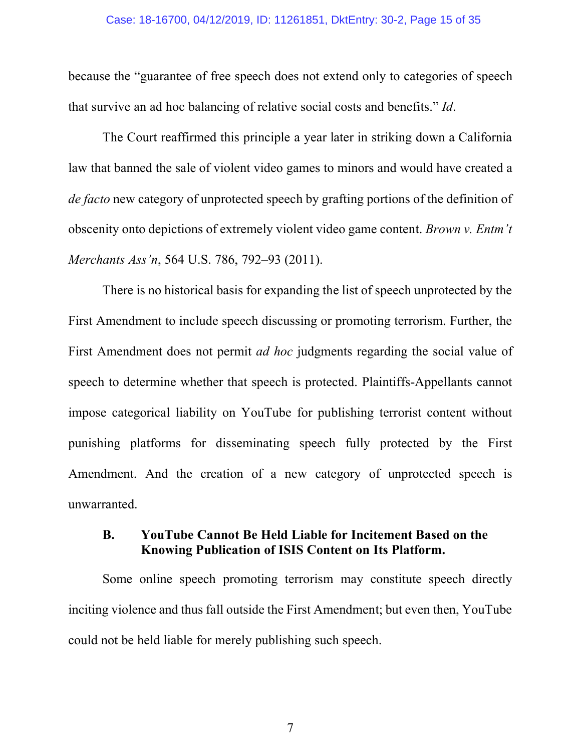because the "guarantee of free speech does not extend only to categories of speech that survive an ad hoc balancing of relative social costs and benefits." *Id*.

The Court reaffirmed this principle a year later in striking down a California law that banned the sale of violent video games to minors and would have created a *de facto* new category of unprotected speech by grafting portions of the definition of obscenity onto depictions of extremely violent video game content. *Brown v. Entm't Merchants Ass'n*, 564 U.S. 786, 792–93 (2011).

There is no historical basis for expanding the list of speech unprotected by the First Amendment to include speech discussing or promoting terrorism. Further, the First Amendment does not permit *ad hoc* judgments regarding the social value of speech to determine whether that speech is protected. Plaintiffs-Appellants cannot impose categorical liability on YouTube for publishing terrorist content without punishing platforms for disseminating speech fully protected by the First Amendment. And the creation of a new category of unprotected speech is unwarranted.

### **B. YouTube Cannot Be Held Liable for Incitement Based on the Knowing Publication of ISIS Content on Its Platform.**

Some online speech promoting terrorism may constitute speech directly inciting violence and thus fall outside the First Amendment; but even then, YouTube could not be held liable for merely publishing such speech.

7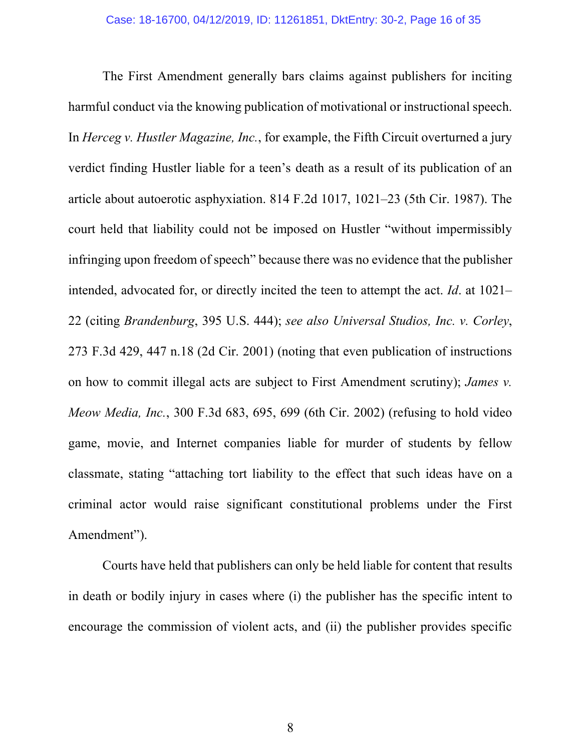The First Amendment generally bars claims against publishers for inciting harmful conduct via the knowing publication of motivational or instructional speech. In *Herceg v. Hustler Magazine, Inc.*, for example, the Fifth Circuit overturned a jury verdict finding Hustler liable for a teen's death as a result of its publication of an article about autoerotic asphyxiation. 814 F.2d 1017, 1021–23 (5th Cir. 1987). The court held that liability could not be imposed on Hustler "without impermissibly infringing upon freedom of speech" because there was no evidence that the publisher intended, advocated for, or directly incited the teen to attempt the act. *Id*. at 1021– 22 (citing *Brandenburg*, 395 U.S. 444); *see also Universal Studios, Inc. v. Corley*, 273 F.3d 429, 447 n.18 (2d Cir. 2001) (noting that even publication of instructions on how to commit illegal acts are subject to First Amendment scrutiny); *James v. Meow Media, Inc.*, 300 F.3d 683, 695, 699 (6th Cir. 2002) (refusing to hold video game, movie, and Internet companies liable for murder of students by fellow classmate, stating "attaching tort liability to the effect that such ideas have on a criminal actor would raise significant constitutional problems under the First Amendment").

Courts have held that publishers can only be held liable for content that results in death or bodily injury in cases where (i) the publisher has the specific intent to encourage the commission of violent acts, and (ii) the publisher provides specific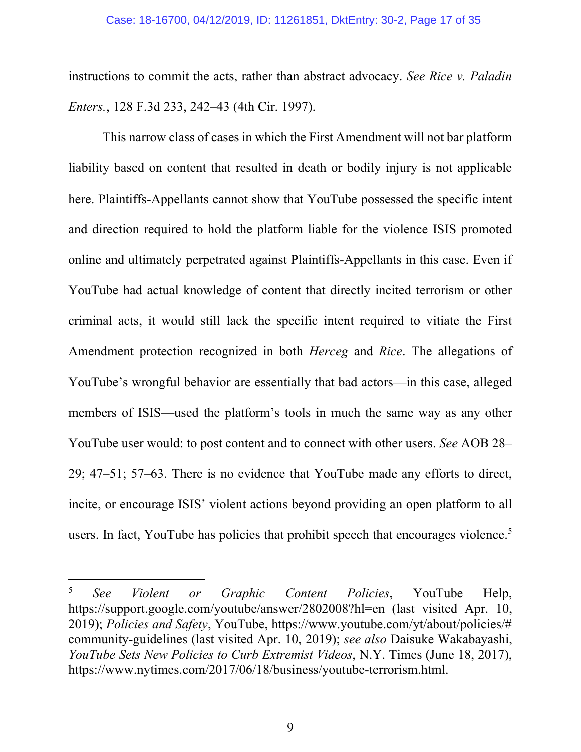instructions to commit the acts, rather than abstract advocacy. *See Rice v. Paladin Enters.*, 128 F.3d 233, 242–43 (4th Cir. 1997).

This narrow class of cases in which the First Amendment will not bar platform liability based on content that resulted in death or bodily injury is not applicable here. Plaintiffs-Appellants cannot show that YouTube possessed the specific intent and direction required to hold the platform liable for the violence ISIS promoted online and ultimately perpetrated against Plaintiffs-Appellants in this case. Even if YouTube had actual knowledge of content that directly incited terrorism or other criminal acts, it would still lack the specific intent required to vitiate the First Amendment protection recognized in both *Herceg* and *Rice*. The allegations of YouTube's wrongful behavior are essentially that bad actors—in this case, alleged members of ISIS—used the platform's tools in much the same way as any other YouTube user would: to post content and to connect with other users. *See* AOB 28– 29; 47–51; 57–63. There is no evidence that YouTube made any efforts to direct, incite, or encourage ISIS' violent actions beyond providing an open platform to all users. In fact, YouTube has policies that prohibit speech that encourages violence.<sup>5</sup>

<sup>5</sup> *See Violent or Graphic Content Policies*, YouTube Help, https://support.google.com/youtube/answer/2802008?hl=en (last visited Apr. 10, 2019); *Policies and Safety*, YouTube, https://www.youtube.com/yt/about/policies/# community-guidelines (last visited Apr. 10, 2019); *see also* Daisuke Wakabayashi, *YouTube Sets New Policies to Curb Extremist Videos*, N.Y. Times (June 18, 2017), https://www.nytimes.com/2017/06/18/business/youtube-terrorism.html.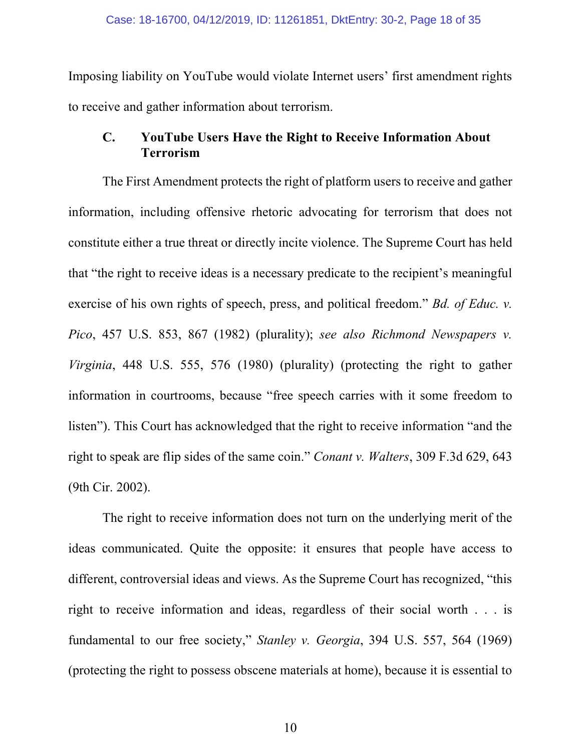Imposing liability on YouTube would violate Internet users' first amendment rights to receive and gather information about terrorism.

#### **C. YouTube Users Have the Right to Receive Information About Terrorism**

The First Amendment protects the right of platform users to receive and gather information, including offensive rhetoric advocating for terrorism that does not constitute either a true threat or directly incite violence. The Supreme Court has held that "the right to receive ideas is a necessary predicate to the recipient's meaningful exercise of his own rights of speech, press, and political freedom." *Bd. of Educ. v. Pico*, 457 U.S. 853, 867 (1982) (plurality); *see also Richmond Newspapers v. Virginia*, 448 U.S. 555, 576 (1980) (plurality) (protecting the right to gather information in courtrooms, because "free speech carries with it some freedom to listen"). This Court has acknowledged that the right to receive information "and the right to speak are flip sides of the same coin." *Conant v. Walters*, 309 F.3d 629, 643 (9th Cir. 2002).

The right to receive information does not turn on the underlying merit of the ideas communicated. Quite the opposite: it ensures that people have access to different, controversial ideas and views. As the Supreme Court has recognized, "this right to receive information and ideas, regardless of their social worth . . . is fundamental to our free society," *Stanley v. Georgia*, 394 U.S. 557, 564 (1969) (protecting the right to possess obscene materials at home), because it is essential to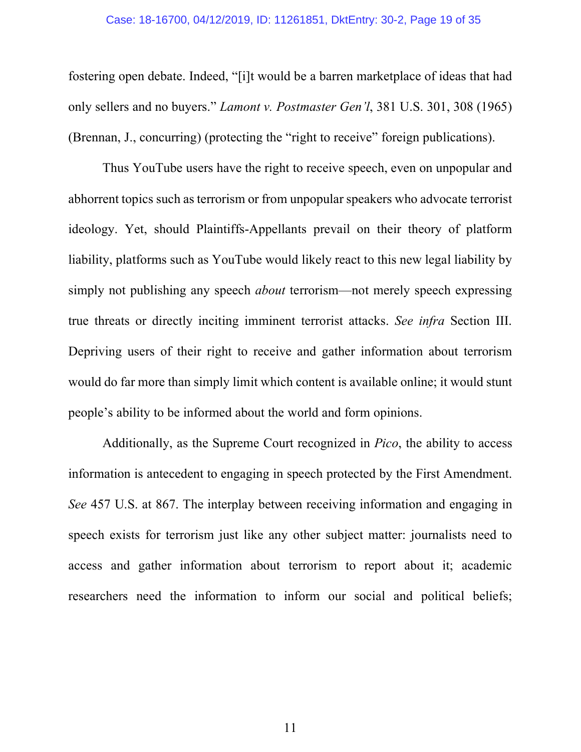#### Case: 18-16700, 04/12/2019, ID: 11261851, DktEntry: 30-2, Page 19 of 35

fostering open debate. Indeed, "[i]t would be a barren marketplace of ideas that had only sellers and no buyers." *Lamont v. Postmaster Gen'l*, 381 U.S. 301, 308 (1965) (Brennan, J., concurring) (protecting the "right to receive" foreign publications).

Thus YouTube users have the right to receive speech, even on unpopular and abhorrent topics such as terrorism or from unpopular speakers who advocate terrorist ideology. Yet, should Plaintiffs-Appellants prevail on their theory of platform liability, platforms such as YouTube would likely react to this new legal liability by simply not publishing any speech *about* terrorism—not merely speech expressing true threats or directly inciting imminent terrorist attacks. *See infra* Section III. Depriving users of their right to receive and gather information about terrorism would do far more than simply limit which content is available online; it would stunt people's ability to be informed about the world and form opinions.

Additionally, as the Supreme Court recognized in *Pico*, the ability to access information is antecedent to engaging in speech protected by the First Amendment. *See* 457 U.S. at 867. The interplay between receiving information and engaging in speech exists for terrorism just like any other subject matter: journalists need to access and gather information about terrorism to report about it; academic researchers need the information to inform our social and political beliefs;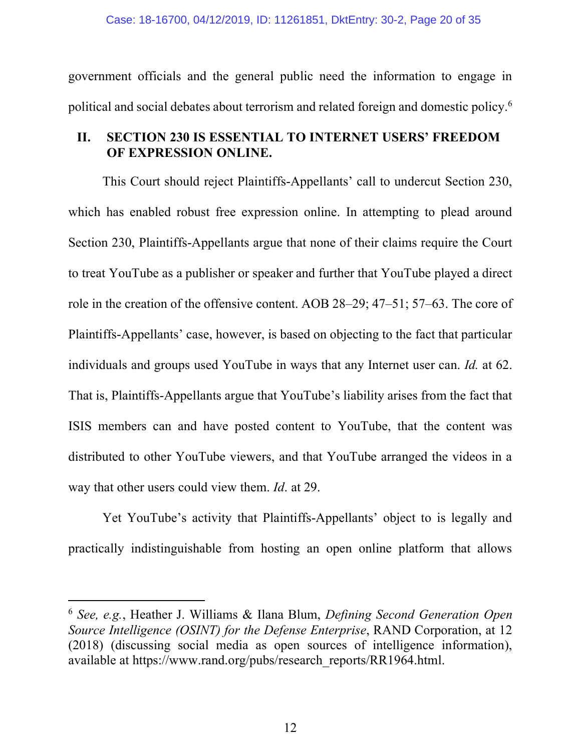government officials and the general public need the information to engage in political and social debates about terrorism and related foreign and domestic policy.6

### **II. SECTION 230 IS ESSENTIAL TO INTERNET USERS' FREEDOM OF EXPRESSION ONLINE.**

This Court should reject Plaintiffs-Appellants' call to undercut Section 230, which has enabled robust free expression online. In attempting to plead around Section 230, Plaintiffs-Appellants argue that none of their claims require the Court to treat YouTube as a publisher or speaker and further that YouTube played a direct role in the creation of the offensive content. AOB 28–29; 47–51; 57–63. The core of Plaintiffs-Appellants' case, however, is based on objecting to the fact that particular individuals and groups used YouTube in ways that any Internet user can. *Id.* at 62. That is, Plaintiffs-Appellants argue that YouTube's liability arises from the fact that ISIS members can and have posted content to YouTube, that the content was distributed to other YouTube viewers, and that YouTube arranged the videos in a way that other users could view them. *Id*. at 29.

Yet YouTube's activity that Plaintiffs-Appellants' object to is legally and practically indistinguishable from hosting an open online platform that allows

<sup>6</sup> *See, e.g.*, Heather J. Williams & Ilana Blum, *Defining Second Generation Open Source Intelligence (OSINT) for the Defense Enterprise*, RAND Corporation, at 12 (2018) (discussing social media as open sources of intelligence information), available at https://www.rand.org/pubs/research\_reports/RR1964.html.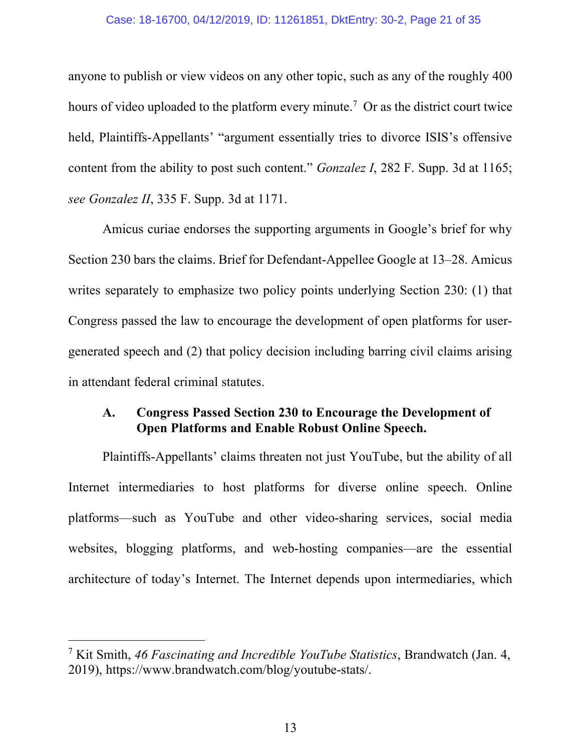#### Case: 18-16700, 04/12/2019, ID: 11261851, DktEntry: 30-2, Page 21 of 35

anyone to publish or view videos on any other topic, such as any of the roughly 400 hours of video uploaded to the platform every minute.<sup>7</sup> Or as the district court twice held, Plaintiffs-Appellants' "argument essentially tries to divorce ISIS's offensive content from the ability to post such content." *Gonzalez I*, 282 F. Supp. 3d at 1165; *see Gonzalez II*, 335 F. Supp. 3d at 1171.

Amicus curiae endorses the supporting arguments in Google's brief for why Section 230 bars the claims. Brief for Defendant-Appellee Google at 13–28. Amicus writes separately to emphasize two policy points underlying Section 230: (1) that Congress passed the law to encourage the development of open platforms for usergenerated speech and (2) that policy decision including barring civil claims arising in attendant federal criminal statutes.

### **A. Congress Passed Section 230 to Encourage the Development of Open Platforms and Enable Robust Online Speech.**

Plaintiffs-Appellants' claims threaten not just YouTube, but the ability of all Internet intermediaries to host platforms for diverse online speech. Online platforms—such as YouTube and other video-sharing services, social media websites, blogging platforms, and web-hosting companies—are the essential architecture of today's Internet. The Internet depends upon intermediaries, which

<sup>7</sup> Kit Smith, *46 Fascinating and Incredible YouTube Statistics*, Brandwatch (Jan. 4, 2019), https://www.brandwatch.com/blog/youtube-stats/.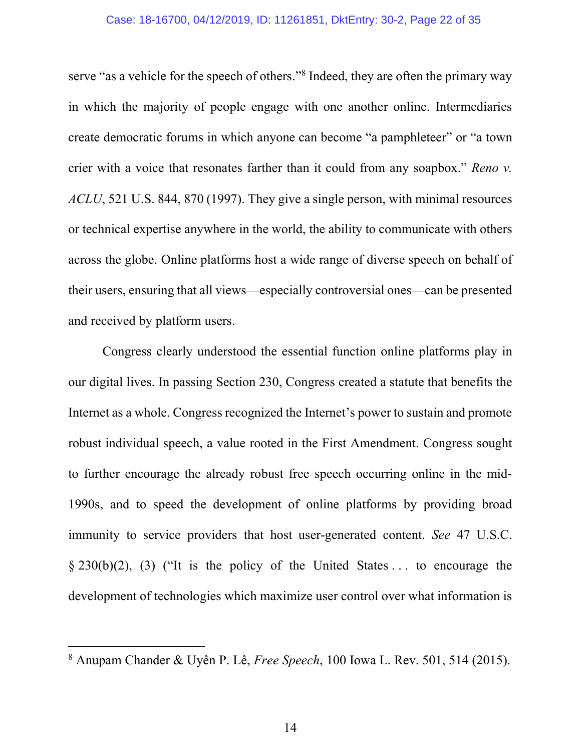#### Case: 18-16700, 04/12/2019, ID: 11261851, DktEntry: 30-2, Page 22 of 35

serve "as a vehicle for the speech of others."<sup>8</sup> Indeed, they are often the primary way in which the majority of people engage with one another online. Intermediaries create democratic forums in which anyone can become "a pamphleteer" or "a town crier with a voice that resonates farther than it could from any soapbox." *Reno v. ACLU*, 521 U.S. 844, 870 (1997). They give a single person, with minimal resources or technical expertise anywhere in the world, the ability to communicate with others across the globe. Online platforms host a wide range of diverse speech on behalf of their users, ensuring that all views—especially controversial ones—can be presented and received by platform users.

Congress clearly understood the essential function online platforms play in our digital lives. In passing Section 230, Congress created a statute that benefits the Internet as a whole. Congress recognized the Internet's power to sustain and promote robust individual speech, a value rooted in the First Amendment. Congress sought to further encourage the already robust free speech occurring online in the mid-1990s, and to speed the development of online platforms by providing broad immunity to service providers that host user-generated content. *See* 47 U.S.C.  $\S 230(b)(2)$ , (3) ("It is the policy of the United States ... to encourage the development of technologies which maximize user control over what information is

<sup>8</sup> Anupam Chander & Uyên P. Lê, *Free Speech*, 100 Iowa L. Rev. 501, 514 (2015).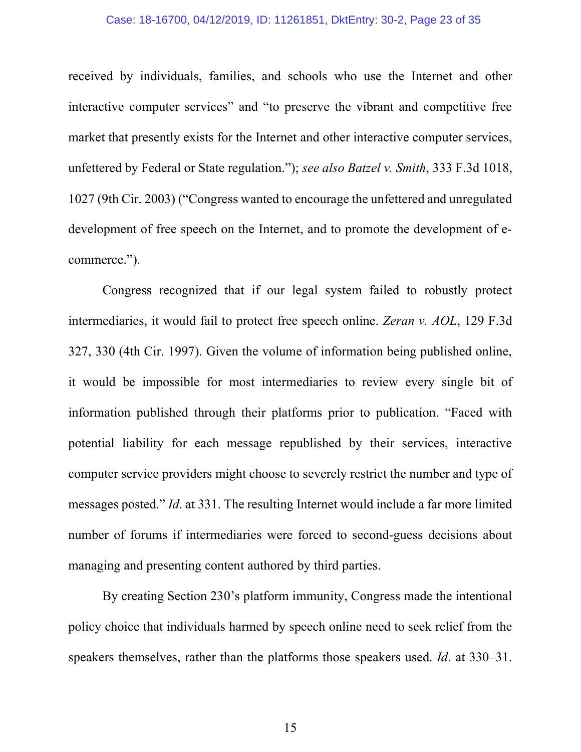#### Case: 18-16700, 04/12/2019, ID: 11261851, DktEntry: 30-2, Page 23 of 35

received by individuals, families, and schools who use the Internet and other interactive computer services" and "to preserve the vibrant and competitive free market that presently exists for the Internet and other interactive computer services, unfettered by Federal or State regulation."); *see also Batzel v. Smith*, 333 F.3d 1018, 1027 (9th Cir. 2003) ("Congress wanted to encourage the unfettered and unregulated development of free speech on the Internet, and to promote the development of ecommerce.").

Congress recognized that if our legal system failed to robustly protect intermediaries, it would fail to protect free speech online. *Zeran v. AOL*, 129 F.3d 327, 330 (4th Cir. 1997). Given the volume of information being published online, it would be impossible for most intermediaries to review every single bit of information published through their platforms prior to publication. "Faced with potential liability for each message republished by their services, interactive computer service providers might choose to severely restrict the number and type of messages posted." *Id*. at 331. The resulting Internet would include a far more limited number of forums if intermediaries were forced to second-guess decisions about managing and presenting content authored by third parties.

By creating Section 230's platform immunity, Congress made the intentional policy choice that individuals harmed by speech online need to seek relief from the speakers themselves, rather than the platforms those speakers used. *Id*. at 330–31.

15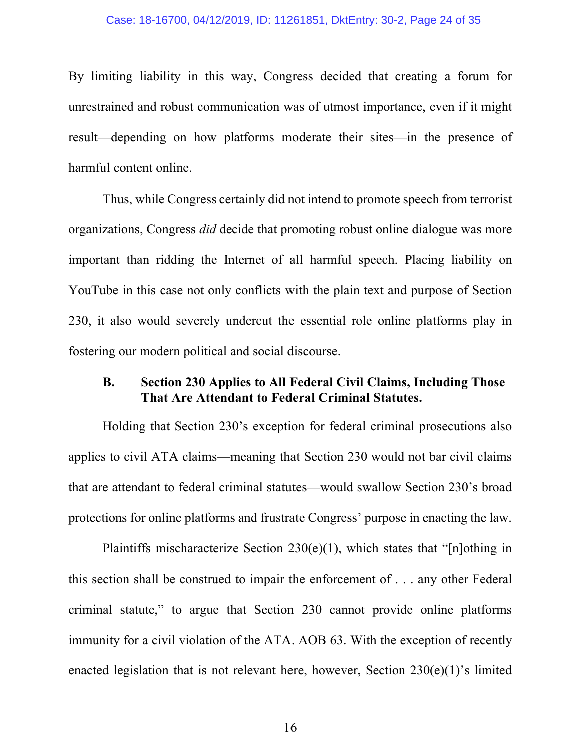#### Case: 18-16700, 04/12/2019, ID: 11261851, DktEntry: 30-2, Page 24 of 35

By limiting liability in this way, Congress decided that creating a forum for unrestrained and robust communication was of utmost importance, even if it might result—depending on how platforms moderate their sites—in the presence of harmful content online.

Thus, while Congress certainly did not intend to promote speech from terrorist organizations, Congress *did* decide that promoting robust online dialogue was more important than ridding the Internet of all harmful speech. Placing liability on YouTube in this case not only conflicts with the plain text and purpose of Section 230, it also would severely undercut the essential role online platforms play in fostering our modern political and social discourse.

### **B. Section 230 Applies to All Federal Civil Claims, Including Those That Are Attendant to Federal Criminal Statutes.**

Holding that Section 230's exception for federal criminal prosecutions also applies to civil ATA claims—meaning that Section 230 would not bar civil claims that are attendant to federal criminal statutes—would swallow Section 230's broad protections for online platforms and frustrate Congress' purpose in enacting the law.

Plaintiffs mischaracterize Section 230(e)(1), which states that "[n]othing in this section shall be construed to impair the enforcement of . . . any other Federal criminal statute," to argue that Section 230 cannot provide online platforms immunity for a civil violation of the ATA. AOB 63. With the exception of recently enacted legislation that is not relevant here, however, Section 230(e)(1)'s limited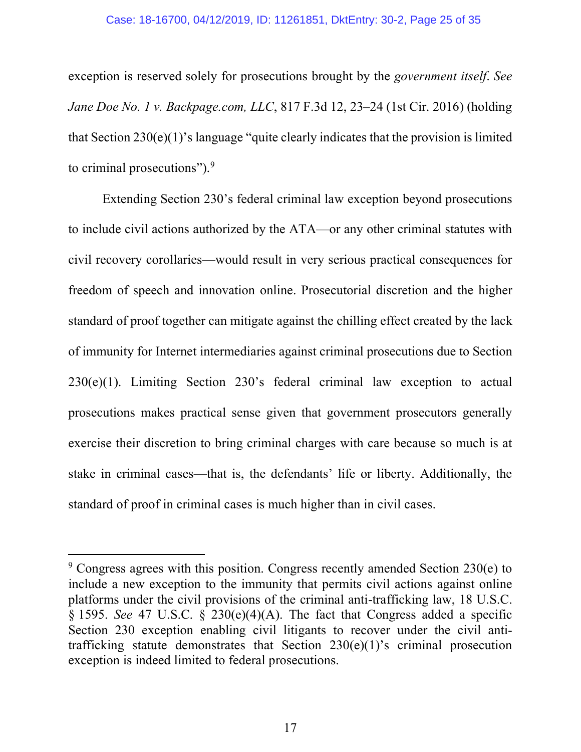exception is reserved solely for prosecutions brought by the *government itself*. *See Jane Doe No. 1 v. Backpage.com, LLC*, 817 F.3d 12, 23–24 (1st Cir. 2016) (holding that Section 230(e)(1)'s language "quite clearly indicates that the provision is limited to criminal prosecutions").<sup>9</sup>

Extending Section 230's federal criminal law exception beyond prosecutions to include civil actions authorized by the ATA—or any other criminal statutes with civil recovery corollaries—would result in very serious practical consequences for freedom of speech and innovation online. Prosecutorial discretion and the higher standard of proof together can mitigate against the chilling effect created by the lack of immunity for Internet intermediaries against criminal prosecutions due to Section 230(e)(1). Limiting Section 230's federal criminal law exception to actual prosecutions makes practical sense given that government prosecutors generally exercise their discretion to bring criminal charges with care because so much is at stake in criminal cases—that is, the defendants' life or liberty. Additionally, the standard of proof in criminal cases is much higher than in civil cases.

 $9$  Congress agrees with this position. Congress recently amended Section 230 $(e)$  to include a new exception to the immunity that permits civil actions against online platforms under the civil provisions of the criminal anti-trafficking law, 18 U.S.C. § 1595. *See* 47 U.S.C. § 230(e)(4)(A). The fact that Congress added a specific Section 230 exception enabling civil litigants to recover under the civil antitrafficking statute demonstrates that Section 230(e)(1)'s criminal prosecution exception is indeed limited to federal prosecutions.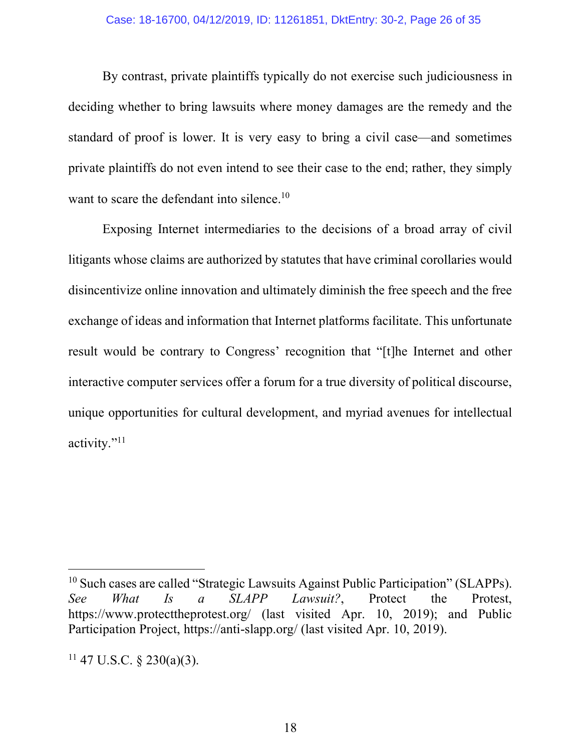By contrast, private plaintiffs typically do not exercise such judiciousness in deciding whether to bring lawsuits where money damages are the remedy and the standard of proof is lower. It is very easy to bring a civil case—and sometimes private plaintiffs do not even intend to see their case to the end; rather, they simply want to scare the defendant into silence.<sup>10</sup>

Exposing Internet intermediaries to the decisions of a broad array of civil litigants whose claims are authorized by statutes that have criminal corollaries would disincentivize online innovation and ultimately diminish the free speech and the free exchange of ideas and information that Internet platforms facilitate. This unfortunate result would be contrary to Congress' recognition that "[t]he Internet and other interactive computer services offer a forum for a true diversity of political discourse, unique opportunities for cultural development, and myriad avenues for intellectual activity."11

<sup>&</sup>lt;sup>10</sup> Such cases are called "Strategic Lawsuits Against Public Participation" (SLAPPs). *See What Is a SLAPP Lawsuit?*, Protect the Protest, https://www.protecttheprotest.org/ (last visited Apr. 10, 2019); and Public Participation Project, https://anti-slapp.org/ (last visited Apr. 10, 2019).

 $11$  47 U.S.C. § 230(a)(3).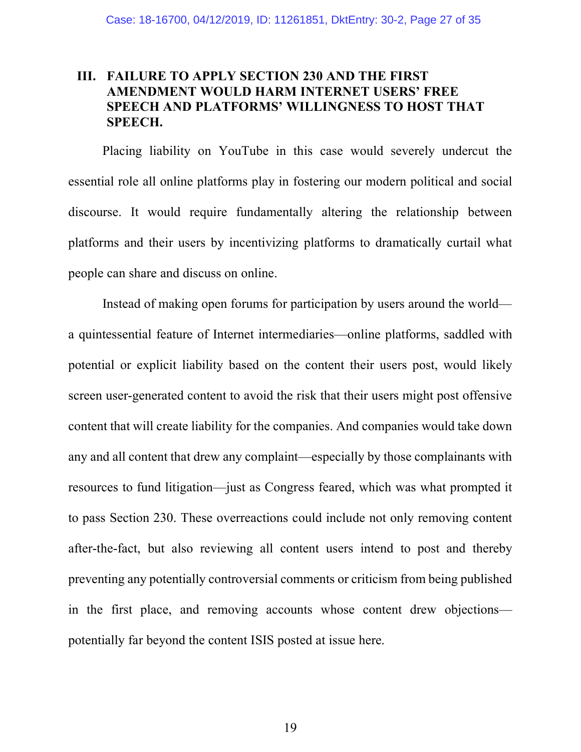### **III. FAILURE TO APPLY SECTION 230 AND THE FIRST AMENDMENT WOULD HARM INTERNET USERS' FREE SPEECH AND PLATFORMS' WILLINGNESS TO HOST THAT SPEECH.**

Placing liability on YouTube in this case would severely undercut the essential role all online platforms play in fostering our modern political and social discourse. It would require fundamentally altering the relationship between platforms and their users by incentivizing platforms to dramatically curtail what people can share and discuss on online.

Instead of making open forums for participation by users around the world a quintessential feature of Internet intermediaries—online platforms, saddled with potential or explicit liability based on the content their users post, would likely screen user-generated content to avoid the risk that their users might post offensive content that will create liability for the companies. And companies would take down any and all content that drew any complaint—especially by those complainants with resources to fund litigation—just as Congress feared, which was what prompted it to pass Section 230. These overreactions could include not only removing content after-the-fact, but also reviewing all content users intend to post and thereby preventing any potentially controversial comments or criticism from being published in the first place, and removing accounts whose content drew objections potentially far beyond the content ISIS posted at issue here.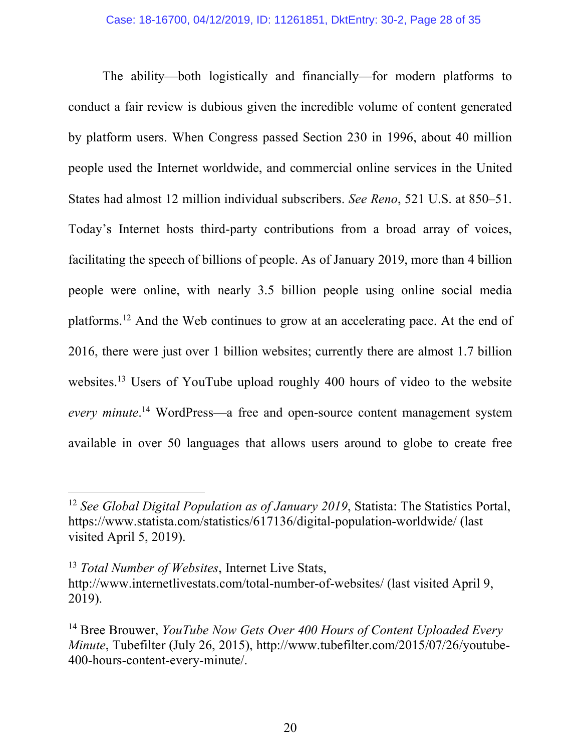The ability—both logistically and financially—for modern platforms to conduct a fair review is dubious given the incredible volume of content generated by platform users. When Congress passed Section 230 in 1996, about 40 million people used the Internet worldwide, and commercial online services in the United States had almost 12 million individual subscribers. *See Reno*, 521 U.S. at 850–51. Today's Internet hosts third-party contributions from a broad array of voices, facilitating the speech of billions of people. As of January 2019, more than 4 billion people were online, with nearly 3.5 billion people using online social media platforms.<sup>12</sup> And the Web continues to grow at an accelerating pace. At the end of 2016, there were just over 1 billion websites; currently there are almost 1.7 billion websites.<sup>13</sup> Users of YouTube upload roughly 400 hours of video to the website *every minute*. <sup>14</sup> WordPress—a free and open-source content management system available in over 50 languages that allows users around to globe to create free

<sup>12</sup> *See Global Digital Population as of January 2019*, Statista: The Statistics Portal, https://www.statista.com/statistics/617136/digital-population-worldwide/ (last visited April 5, 2019).

<sup>13</sup> *Total Number of Websites*, Internet Live Stats, http://www.internetlivestats.com/total-number-of-websites/ (last visited April 9, 2019).

<sup>14</sup> Bree Brouwer, *YouTube Now Gets Over 400 Hours of Content Uploaded Every Minute*, Tubefilter (July 26, 2015), http://www.tubefilter.com/2015/07/26/youtube-400-hours-content-every-minute/.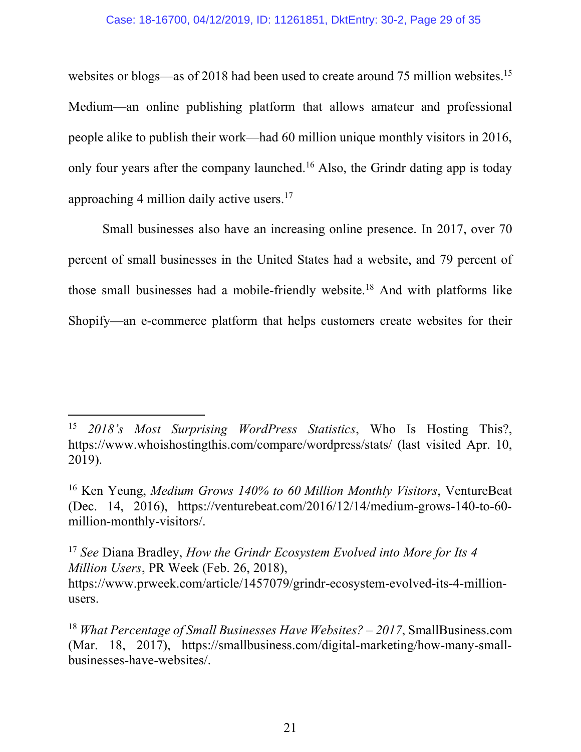websites or blogs—as of 2018 had been used to create around 75 million websites.<sup>15</sup> Medium—an online publishing platform that allows amateur and professional people alike to publish their work—had 60 million unique monthly visitors in 2016, only four years after the company launched.<sup>16</sup> Also, the Grindr dating app is today approaching 4 million daily active users.17

Small businesses also have an increasing online presence. In 2017, over 70 percent of small businesses in the United States had a website, and 79 percent of those small businesses had a mobile-friendly website.<sup>18</sup> And with platforms like Shopify—an e-commerce platform that helps customers create websites for their

<sup>15</sup> *2018's Most Surprising WordPress Statistics*, Who Is Hosting This?, https://www.whoishostingthis.com/compare/wordpress/stats/ (last visited Apr. 10, 2019).

<sup>16</sup> Ken Yeung, *Medium Grows 140% to 60 Million Monthly Visitors*, VentureBeat (Dec. 14, 2016), https://venturebeat.com/2016/12/14/medium-grows-140-to-60 million-monthly-visitors/.

<sup>17</sup> *See* Diana Bradley, *How the Grindr Ecosystem Evolved into More for Its 4 Million Users*, PR Week (Feb. 26, 2018), https://www.prweek.com/article/1457079/grindr-ecosystem-evolved-its-4-millionusers.

<sup>&</sup>lt;sup>18</sup> *What Percentage of Small Businesses Have Websites? – 2017*, SmallBusiness.com (Mar. 18, 2017), https://smallbusiness.com/digital-marketing/how-many-smallbusinesses-have-websites/.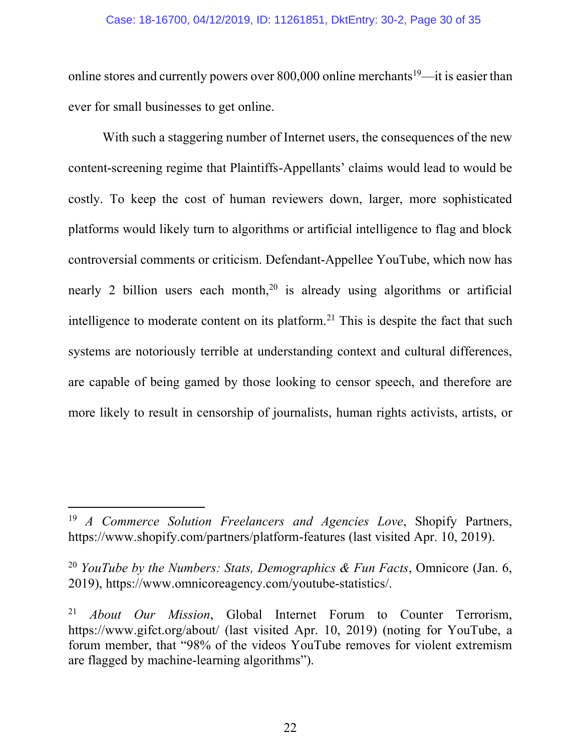#### Case: 18-16700, 04/12/2019, ID: 11261851, DktEntry: 30-2, Page 30 of 35

online stores and currently powers over 800,000 online merchants<sup>19</sup>—it is easier than ever for small businesses to get online.

With such a staggering number of Internet users, the consequences of the new content-screening regime that Plaintiffs-Appellants' claims would lead to would be costly. To keep the cost of human reviewers down, larger, more sophisticated platforms would likely turn to algorithms or artificial intelligence to flag and block controversial comments or criticism. Defendant-Appellee YouTube, which now has nearly 2 billion users each month,<sup>20</sup> is already using algorithms or artificial intelligence to moderate content on its platform.<sup>21</sup> This is despite the fact that such systems are notoriously terrible at understanding context and cultural differences, are capable of being gamed by those looking to censor speech, and therefore are more likely to result in censorship of journalists, human rights activists, artists, or

<sup>19</sup> *A Commerce Solution Freelancers and Agencies Love*, Shopify Partners, https://www.shopify.com/partners/platform-features (last visited Apr. 10, 2019).

<sup>20</sup> *YouTube by the Numbers: Stats, Demographics & Fun Facts*, Omnicore (Jan. 6, 2019), https://www.omnicoreagency.com/youtube-statistics/.

<sup>21</sup> *About Our Mission*, Global Internet Forum to Counter Terrorism, https://www.gifct.org/about/ (last visited Apr. 10, 2019) (noting for YouTube, a forum member, that "98% of the videos YouTube removes for violent extremism are flagged by machine-learning algorithms").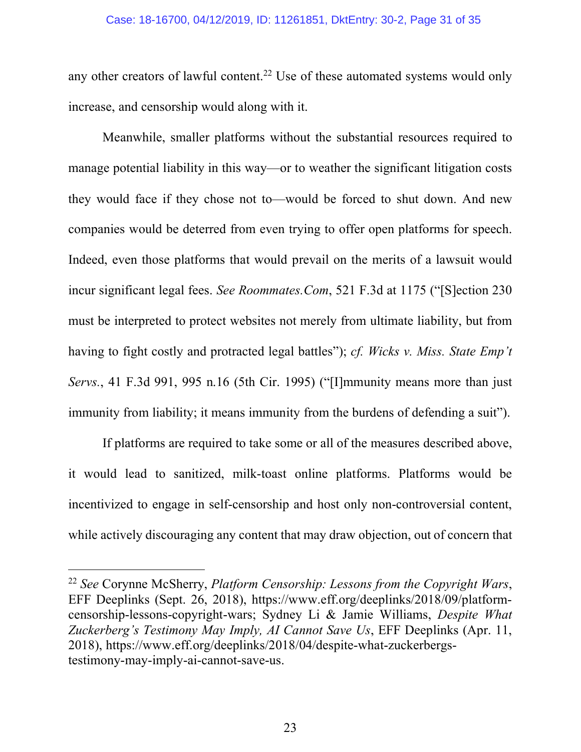#### Case: 18-16700, 04/12/2019, ID: 11261851, DktEntry: 30-2, Page 31 of 35

any other creators of lawful content.<sup>22</sup> Use of these automated systems would only increase, and censorship would along with it.

Meanwhile, smaller platforms without the substantial resources required to manage potential liability in this way—or to weather the significant litigation costs they would face if they chose not to—would be forced to shut down. And new companies would be deterred from even trying to offer open platforms for speech. Indeed, even those platforms that would prevail on the merits of a lawsuit would incur significant legal fees. *See Roommates.Com*, 521 F.3d at 1175 ("[S]ection 230 must be interpreted to protect websites not merely from ultimate liability, but from having to fight costly and protracted legal battles"); *cf. Wicks v. Miss. State Emp't Servs.*, 41 F.3d 991, 995 n.16 (5th Cir. 1995) ("[I]mmunity means more than just immunity from liability; it means immunity from the burdens of defending a suit").

If platforms are required to take some or all of the measures described above, it would lead to sanitized, milk-toast online platforms. Platforms would be incentivized to engage in self-censorship and host only non-controversial content, while actively discouraging any content that may draw objection, out of concern that

<sup>22</sup> *See* Corynne McSherry, *Platform Censorship: Lessons from the Copyright Wars*, EFF Deeplinks (Sept. 26, 2018), https://www.eff.org/deeplinks/2018/09/platformcensorship-lessons-copyright-wars; Sydney Li & Jamie Williams, *Despite What Zuckerberg's Testimony May Imply, AI Cannot Save Us*, EFF Deeplinks (Apr. 11, 2018), https://www.eff.org/deeplinks/2018/04/despite-what-zuckerbergstestimony-may-imply-ai-cannot-save-us.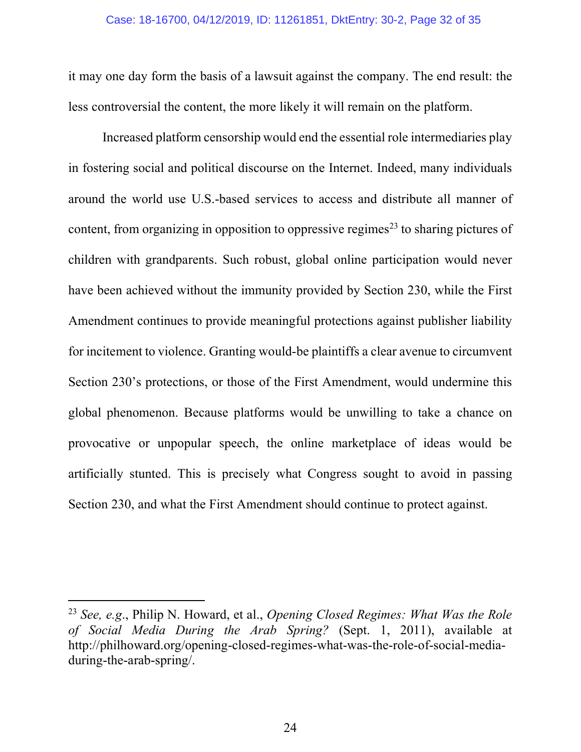#### Case: 18-16700, 04/12/2019, ID: 11261851, DktEntry: 30-2, Page 32 of 35

it may one day form the basis of a lawsuit against the company. The end result: the less controversial the content, the more likely it will remain on the platform.

Increased platform censorship would end the essential role intermediaries play in fostering social and political discourse on the Internet. Indeed, many individuals around the world use U.S.-based services to access and distribute all manner of content, from organizing in opposition to oppressive regimes<sup>23</sup> to sharing pictures of children with grandparents. Such robust, global online participation would never have been achieved without the immunity provided by Section 230, while the First Amendment continues to provide meaningful protections against publisher liability for incitement to violence. Granting would-be plaintiffs a clear avenue to circumvent Section 230's protections, or those of the First Amendment, would undermine this global phenomenon. Because platforms would be unwilling to take a chance on provocative or unpopular speech, the online marketplace of ideas would be artificially stunted. This is precisely what Congress sought to avoid in passing Section 230, and what the First Amendment should continue to protect against.

 $\overline{a}$ 

24

<sup>23</sup> *See, e.g*., Philip N. Howard, et al., *Opening Closed Regimes: What Was the Role of Social Media During the Arab Spring?* (Sept. 1, 2011), available at http://philhoward.org/opening-closed-regimes-what-was-the-role-of-social-mediaduring-the-arab-spring/.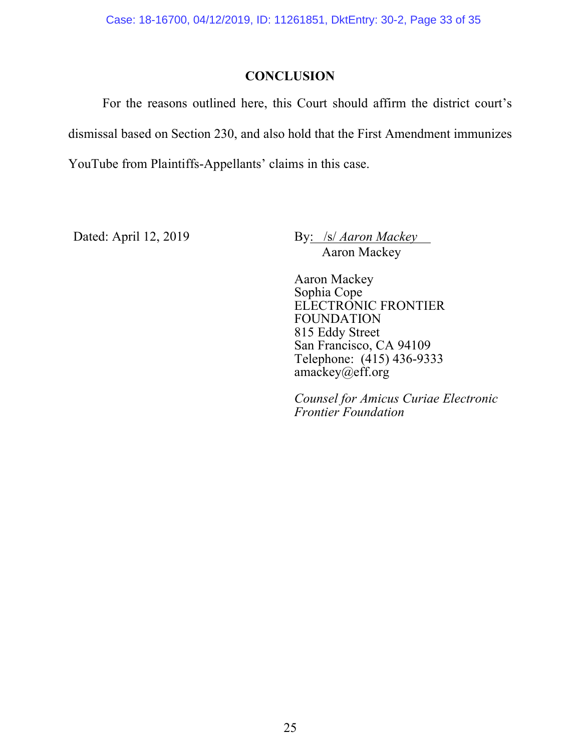### **CONCLUSION**

For the reasons outlined here, this Court should affirm the district court's dismissal based on Section 230, and also hold that the First Amendment immunizes YouTube from Plaintiffs-Appellants' claims in this case.

Dated: April 12, 2019 By: /s/ *Aaron Mackey* Aaron Mackey

> Aaron Mackey Sophia Cope ELECTRONIC FRONTIER FOUNDATION 815 Eddy Street San Francisco, CA 94109 Telephone: (415) 436-9333 amackey@eff.org

*Counsel for Amicus Curiae Electronic Frontier Foundation*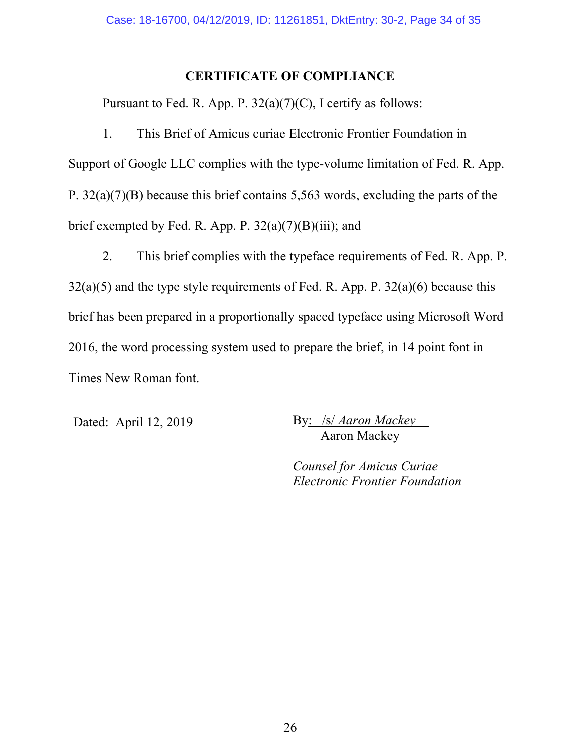### **CERTIFICATE OF COMPLIANCE**

Pursuant to Fed. R. App. P.  $32(a)(7)(C)$ , I certify as follows:

1. This Brief of Amicus curiae Electronic Frontier Foundation in Support of Google LLC complies with the type-volume limitation of Fed. R. App. P. 32(a)(7)(B) because this brief contains 5,563 words, excluding the parts of the brief exempted by Fed. R. App. P.  $32(a)(7)(B)(iii)$ ; and

2. This brief complies with the typeface requirements of Fed. R. App. P.  $32(a)(5)$  and the type style requirements of Fed. R. App. P.  $32(a)(6)$  because this brief has been prepared in a proportionally spaced typeface using Microsoft Word 2016, the word processing system used to prepare the brief, in 14 point font in Times New Roman font.

Dated: April 12, 2019 By: /s/ *Aaron Mackey* Aaron Mackey

> *Counsel for Amicus Curiae Electronic Frontier Foundation*